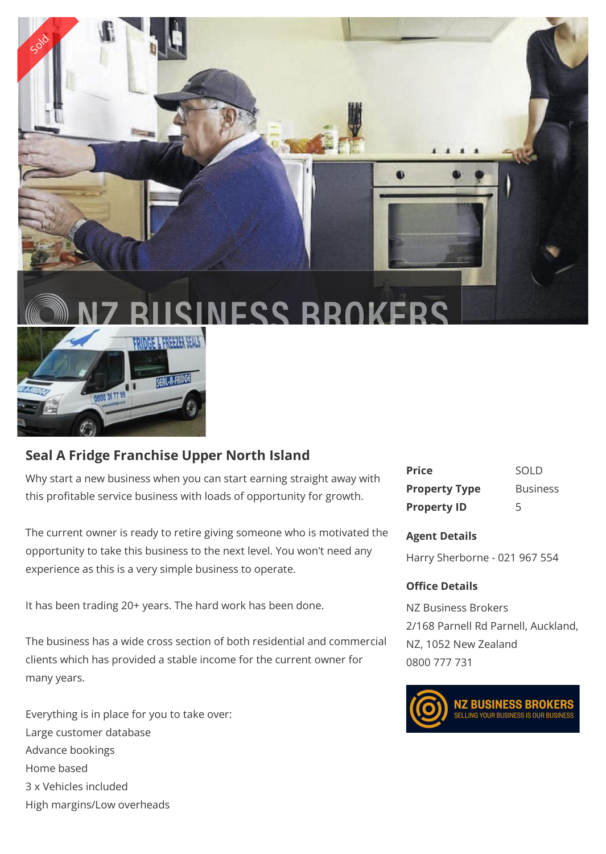

## **Seal A Fridge Franchise Upper North Island**

Why start a new business when you can start earning straight away with this profitable service business with loads of opportunity for growth.

The current owner is ready to retire giving someone who is motivated the opportunity to take this business to the next level. You won't need any experience as this is a very simple business to operate.

It has been trading 20+ years. The hard work has been done.

The business has a wide cross section of both residential and commercial clients which has provided a stable income for the current owner for many years.

Everything is in place for you to take over: Large customer database Advance bookings Home based 3 x Vehicles included High margins/Low overheads

| <b>Price</b>         | SOLD            |
|----------------------|-----------------|
| <b>Property Type</b> | <b>Business</b> |
| <b>Property ID</b>   | 5               |

## **Agent Details**

Harry Sherborne - 021 967 554

## **Office Details**

NZ Business Brokers 2/168 Parnell Rd Parnell, Auckland, NZ, 1052 New Zealand 0800 777 731